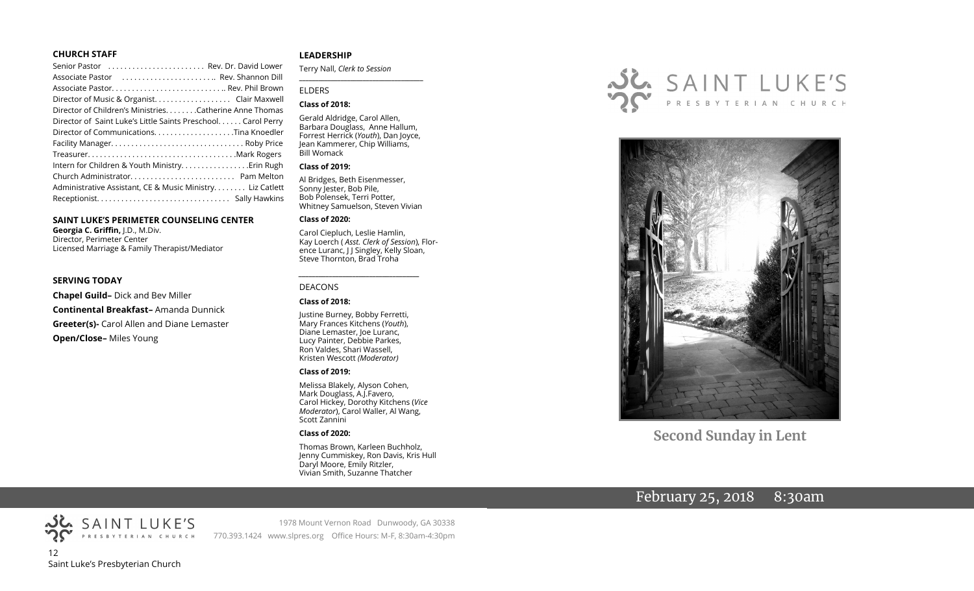#### **CHURCH STAFF**

| Senior Pastor  Rev. Dr. David Lower                          |  |
|--------------------------------------------------------------|--|
| Associate Pastor  Rev. Shannon Dill                          |  |
|                                                              |  |
| Director of Music & Organist. Clair Maxwell                  |  |
| Director of Children's Ministries. Catherine Anne Thomas     |  |
| Director of Saint Luke's Little Saints Preschool Carol Perry |  |
|                                                              |  |
|                                                              |  |
|                                                              |  |
|                                                              |  |
|                                                              |  |
| Administrative Assistant, CE & Music Ministry Liz Catlett    |  |
|                                                              |  |
|                                                              |  |

#### **SAINT LUKE'S PERIMETER COUNSELING CENTER**

**Georgia C. Griffin,** J.D., M.Div. Director, Perimeter Center Licensed Marriage & Family Therapist/Mediator

#### **SERVING TODAY**

**Chapel Guild–** Dick and Bev Miller **Continental Breakfast–** Amanda Dunnick **Greeter(s)-** Carol Allen and Diane Lemaster **Open/Close–** Miles Young

#### **LEADERSHIP**

Terry Nall, *Clerk to Session* 

#### ELDERS

#### **Class of 2018:**

Gerald Aldridge, Carol Allen, Barbara Douglass, Anne Hallum, Forrest Herrick (*Youth*), Dan Joyce, Jean Kammerer, Chip Williams, Bill Womack

**\_\_\_\_\_\_\_\_\_\_\_\_\_\_\_\_\_\_\_\_\_\_\_\_\_\_\_\_\_\_\_\_\_\_\_\_\_\_\_**

#### **Class of 2019:**

Al Bridges, Beth Eisenmesser, Sonny Jester, Bob Pile, Bob Polensek, Terri Potter, Whitney Samuelson, Steven Vivian

#### **Class of 2020:**

Carol Ciepluch, Leslie Hamlin, Kay Loerch ( *Asst. Clerk of Session*), Florence Luranc, J J Singley, Kelly Sloan, Steve Thornton, Brad Troha

#### DEACONS

#### **Class of 2018:**

Justine Burney, Bobby Ferretti, Mary Frances Kitchens (*Youth*), Diane Lemaster, Joe Luranc, Lucy Painter, Debbie Parkes, Ron Valdes, Shari Wassell, Kristen Wescott *(Moderator)*

*\_\_\_\_\_\_\_\_\_\_\_\_\_\_\_\_\_\_\_\_\_\_\_\_\_\_\_\_\_\_\_\_\_\_\_\_*

#### **Class of 2019:**

Melissa Blakely, Alyson Cohen, Mark Douglass, A.J.Favero, Carol Hickey, Dorothy Kitchens (*Vice Moderator*), Carol Waller, Al Wang, Scott Zannini

#### **Class of 2020:**

Thomas Brown, Karleen Buchholz, Jenny Cummiskey, Ron Davis, Kris Hull Daryl Moore, Emily Ritzler, Vivian Smith, Suzanne Thatcher





**Second Sunday in Lent**

# February 25, 2018 8:30am

SAINT LUKE'S 12 Saint Luke's Presbyterian Church

1978 Mount Vernon Road Dunwoody, GA 30338 770.393.1424 www.slpres.org Office Hours: M-F, 8:30am-4:30pm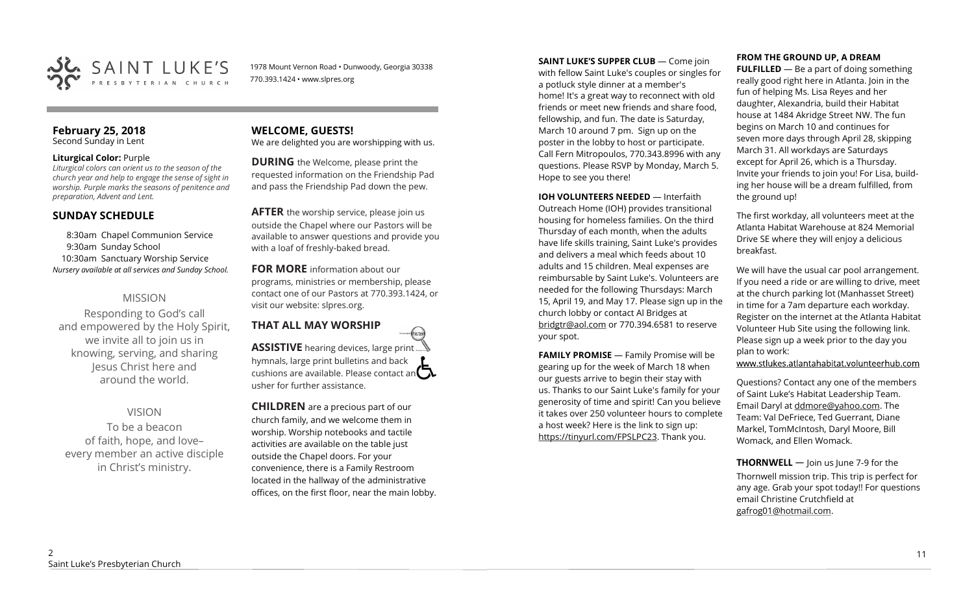

1978 Mount Vernon Road • Dunwoody, Georgia 30338 770.393.1424 • www.slpres.org

#### **February 25, 2018**  Second Sunday in Lent

## **Liturgical Color:** Purple

*Liturgical colors can orient us to the season of the church year and help to engage the sense of sight in worship. Purple marks the seasons of penitence and preparation, Advent and Lent.*

# **SUNDAY SCHEDULE**

8:30am Chapel Communion Service 9:30am Sunday School 10:30am Sanctuary Worship Service *Nursery available at all services and Sunday School.* 

# MISSION

Responding to God's call and empowered by the Holy Spirit, we invite all to join us in knowing, serving, and sharing Jesus Christ here and around the world.

# VISION

To be a beacon of faith, hope, and love– every member an active disciple in Christ's ministry.

# **WELCOME, GUESTS!**

We are delighted you are worshipping with us.

**DURING** the Welcome, please print the requested information on the Friendship Pad and pass the Friendship Pad down the pew.

**AFTER** the worship service, please join us outside the Chapel where our Pastors will be available to answer questions and provide you with a loaf of freshly-baked bread.

**FOR MORE** information about our programs, ministries or membership, please contact one of our Pastors at 770.393.1424, or visit our website: slpres.org.

**THAT ALL MAY WORSHIP** thisted **ASSISTIVE** hearing devices, large print... hymnals, large print bulletins and back cushions are available. Please contact an  $\square$ usher for further assistance.

**CHILDREN** are a precious part of our church family, and we welcome them in worship. Worship notebooks and tactile activities are available on the table just outside the Chapel doors. For your convenience, there is a Family Restroom located in the hallway of the administrative offices, on the first floor, near the main lobby. **SAINT LUKE'S SUPPER CLUB** — Come join with fellow Saint Luke's couples or singles for a potluck style dinner at a member's home! It's a great way to reconnect with old friends or meet new friends and share food, fellowship, and fun. The date is Saturday, March 10 around 7 pm. Sign up on the poster in the lobby to host or participate. Call Fern Mitropoulos, 770.343.8996 with any questions. Please RSVP by Monday, March 5. Hope to see you there!

**IOH VOLUNTEERS NEEDED** — Interfaith Outreach Home (IOH) provides transitional housing for homeless families. On the third Thursday of each month, when the adults have life skills training, Saint Luke's provides and delivers a meal which feeds about 10 adults and 15 children. Meal expenses are reimbursable by Saint Luke's. Volunteers are needed for the following Thursdays: March 15, April 19, and May 17. Please sign up in the church lobby or contact Al Bridges at [bridgtr@aol.com](mailto:bridgtr@aol.com) or 770.394.6581 to reserve your spot.

**FAMILY PROMISE** - Family Promise will be gearing up for the week of March 18 when our guests arrive to begin their stay with us. Thanks to our Saint Luke's family for your generosity of time and spirit! Can you believe it takes over 250 volunteer hours to complete a host week? Here is the link to sign up: [https://tinyurl.com/FPSLPC23.](https://tinyurl.com/FPSLPC23) Thank you.

**FULFILLED** — Be a part of doing something really good right here in Atlanta. Join in the fun of helping Ms. Lisa Reyes and her daughter, Alexandria, build their Habitat house at 1484 Akridge Street NW. The fun begins on March 10 and continues for seven more days through April 28, skipping March 31. All workdays are Saturdays except for April 26, which is a Thursday. Invite your friends to join you! For Lisa, building her house will be a dream fulfilled, from the ground up!

The first workday, all volunteers meet at the Atlanta Habitat Warehouse at 824 Memorial Drive SE where they will enjoy a delicious breakfast.

We will have the usual car pool arrangement. If you need a ride or are willing to drive, meet at the church parking lot (Manhasset Street) in time for a 7am departure each workday. Register on the internet at the Atlanta Habitat Volunteer Hub Site using the following link. Please sign up a week prior to the day you plan to work:

www.stlukes.atlantahabitat.volunteerhub.com

Questions? Contact any one of the members of Saint Luke's Habitat Leadership Team. Email Daryl at ddmore@yahoo.com. The Team: Val DeFriece, Ted Guerrant, Diane Markel, TomMcIntosh, Daryl Moore, Bill Womack, and Ellen Womack.

**THORNWELL** — Join us June 7-9 for the Thornwell mission trip. This trip is perfect for any age. Grab your spot today!! For questions email Christine Crutchfield at [gafrog01@hotmail.com.](mailto:gafrog01@hotmail.com)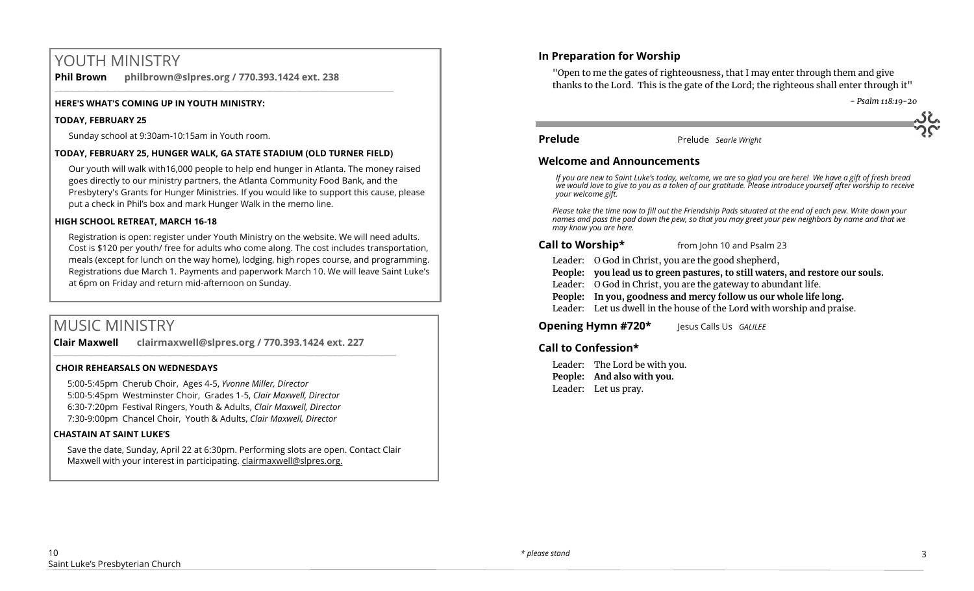# YOUTH MINISTRY

**Phil Brown philbrown@slpres.org / 770.393.1424 ext. 238**  \_\_\_\_\_\_\_\_\_\_\_\_\_\_\_\_\_\_\_\_\_\_\_\_\_\_\_\_\_\_\_\_\_\_\_\_\_\_\_\_\_\_\_\_\_\_\_\_\_\_\_\_\_\_\_\_\_\_\_\_\_\_\_\_\_\_\_\_\_\_\_\_\_\_\_\_\_\_\_\_\_\_\_\_\_\_\_

#### **HERE'S WHAT'S COMING UP IN YOUTH MINISTRY:**

#### **TODAY, FEBRUARY 25**

Sunday school at 9:30am-10:15am in Youth room.

#### **TODAY, FEBRUARY 25, HUNGER WALK, GA STATE STADIUM (OLD TURNER FIELD)**

Our youth will walk with16,000 people to help end hunger in Atlanta. The money raised goes directly to our ministry partners, the Atlanta Community Food Bank, and the Presbytery's Grants for Hunger Ministries. If you would like to support this cause, please put a check in Phil's box and mark Hunger Walk in the memo line.

#### **HIGH SCHOOL RETREAT, MARCH 16-18**

Registration is open: register under Youth Ministry on the website. We will need adults. Cost is \$120 per youth/ free for adults who come along. The cost includes transportation, meals (except for lunch on the way home), lodging, high ropes course, and programming. Registrations due March 1. Payments and paperwork March 10. We will leave Saint Luke's at 6pm on Friday and return mid-afternoon on Sunday.

# MUSIC MINISTRY

**Clair Maxwell clairmaxwell@slpres.org / 770.393.1424 ext. 227**   $\_$  , and the set of the set of the set of the set of the set of the set of the set of the set of the set of the set of the set of the set of the set of the set of the set of the set of the set of the set of the set of th

#### **CHOIR REHEARSALS ON WEDNESDAYS**

5:00-5:45pm Cherub Choir, Ages 4-5, *Yvonne Miller, Director*  5:00-5:45pm Westminster Choir, Grades 1-5, *Clair Maxwell, Director*  6:30-7:20pm Festival Ringers, Youth & Adults, *Clair Maxwell, Director*  7:30-9:00pm Chancel Choir, Youth & Adults, *Clair Maxwell, Director* 

#### **CHASTAIN AT SAINT LUKE'S**

Save the date, Sunday, April 22 at 6:30pm. Performing slots are open. Contact Clair Maxwell with your interest in participating. clairmaxwell@slpres.org.

# **In Preparation for Worship**

"Open to me the gates of righteousness, that I may enter through them and give thanks to the Lord. This is the gate of the Lord; the righteous shall enter through it"

 *- Psalm 118:19-20*

**Prelude** Prelude *Searle Wright* 

#### **Welcome and Announcements**

*If you are new to Saint Luke's today, welcome, we are so glad you are here! We have a gift of fresh bread we would love to give to you as a token of our gratitude. Please introduce yourself after worship to receive your welcome gift.*

*Please take the time now to fill out the Friendship Pads situated at the end of each pew. Write down your names and pass the pad down the pew, so that you may greet your pew neighbors by name and that we may know you are here.*

#### **Call to Worship\*** from John 10 and Psalm 23

Leader: O God in Christ, you are the good shepherd,

**People: you lead us to green pastures, to still waters, and restore our souls.**

- Leader: O God in Christ, you are the gateway to abundant life.
- **People: In you, goodness and mercy follow us our whole life long.**

Leader: Let us dwell in the house of the Lord with worship and praise.

**Opening Hymn #720\*** Jesus Calls Us *GALILEE*

## **Call to Confession\***

Leader: The Lord be with you. **People: And also with you.** Leader: Let us pray.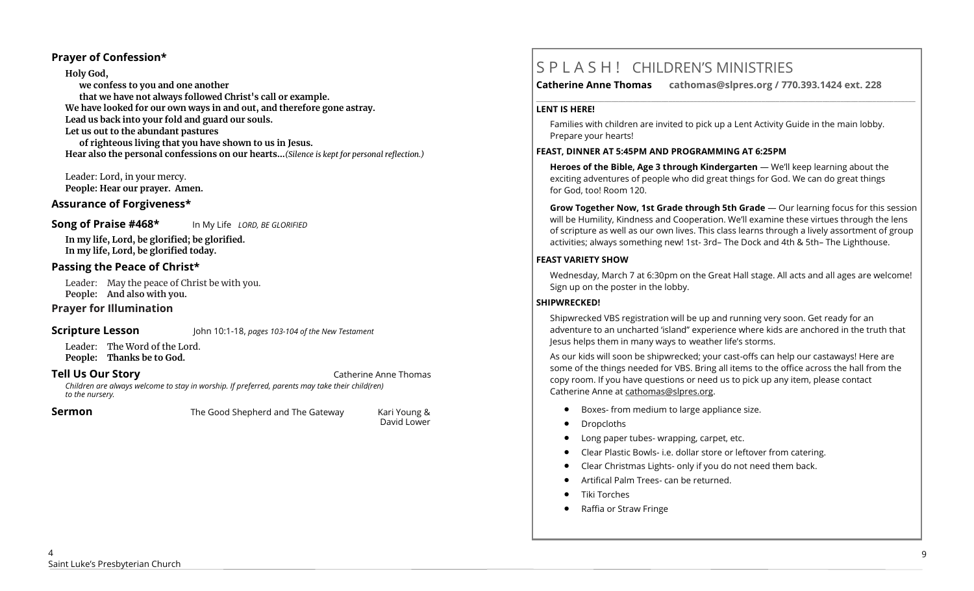## **Prayer of Confession\***

**Holy God, we confess to you and one another that we have not always followed Christ's call or example. We have looked for our own ways in and out, and therefore gone astray. Lead us back into your fold and guard our souls. Let us out to the abundant pastures of righteous living that you have shown to us in Jesus. Hear also the personal confessions on our hearts…***(Silence is kept for personal reflection.)*

Leader: Lord, in your mercy. **People: Hear our prayer. Amen.**

## **Assurance of Forgiveness\***

#### **Song of Praise #468\*** In My Life *LORD, BE GLORIFIED*

**In my life, Lord, be glorified; be glorified. In my life, Lord, be glorified today.** 

## **Passing the Peace of Christ\***

Leader: May the peace of Christ be with you. **People: And also with you.** 

## **Prayer for Illumination**

**Scripture Lesson** John 10:1-18, *pages 103-104 of the New Testament*

Leader: The Word of the Lord. **People: Thanks be to God.**

#### **Tell Us Our Story**  Catherine Anne Thomas **Cathering Anne Thomas**

*Children are always welcome to stay in worship. If preferred, parents may take their child(ren) to the nursery.*

**Sermon The Good Shepherd and The Gateway** Kari Young &

David Lower

# S P L A S H ! CHILDREN'S MINISTRIES

**Catherine Anne Thomas cathomas@slpres.org / 770.393.1424 ext. 228** 

#### **LENT IS HERE!**

Families with children are invited to pick up a Lent Activity Guide in the main lobby. Prepare your hearts!

**\_\_\_\_\_\_\_\_\_\_\_\_\_\_\_\_\_\_\_\_\_\_\_\_\_\_\_\_\_\_\_\_\_\_\_\_\_\_\_\_\_\_\_\_\_\_\_\_\_\_\_\_\_\_\_\_\_\_\_\_\_\_\_\_\_\_\_\_\_\_\_\_\_\_\_\_\_\_\_\_\_\_\_\_\_\_\_\_\_\_\_\_\_\_\_\_\_\_\_\_\_\_\_\_\_\_** 

#### **FEAST, DINNER AT 5:45PM AND PROGRAMMING AT 6:25PM**

**Heroes of the Bible, Age 3 through Kindergarten** — We'll keep learning about the exciting adventures of people who did great things for God. We can do great things for God, too! Room 120.

**Grow Together Now, 1st Grade through 5th Grade** — Our learning focus for this session will be Humility, Kindness and Cooperation. We'll examine these virtues through the lens of scripture as well as our own lives. This class learns through a lively assortment of group activities; always something new! 1st- 3rd– The Dock and 4th & 5th– The Lighthouse.

## **FEAST VARIETY SHOW**

Wednesday, March 7 at 6:30pm on the Great Hall stage. All acts and all ages are welcome! Sign up on the poster in the lobby.

## **SHIPWRECKED!**

Shipwrecked VBS registration will be up and running very soon. Get ready for an adventure to an uncharted 'island" experience where kids are anchored in the truth that Jesus helps them in many ways to weather life's storms.

As our kids will soon be shipwrecked; your cast-offs can help our castaways! Here are some of the things needed for VBS. Bring all items to the office across the hall from the copy room. If you have questions or need us to pick up any item, please contact Catherine Anne at [cathomas@slpres.org.](mailto:cathomas@slpres.org)

- Boxes- from medium to large appliance size.
- Dropcloths
- Long paper tubes- wrapping, carpet, etc.
- Clear Plastic Bowls- i.e. dollar store or leftover from catering.
- Clear Christmas Lights- only if you do not need them back.
- Artifical Palm Trees- can be returned.
- Tiki Torches
- Raffia or Straw Fringe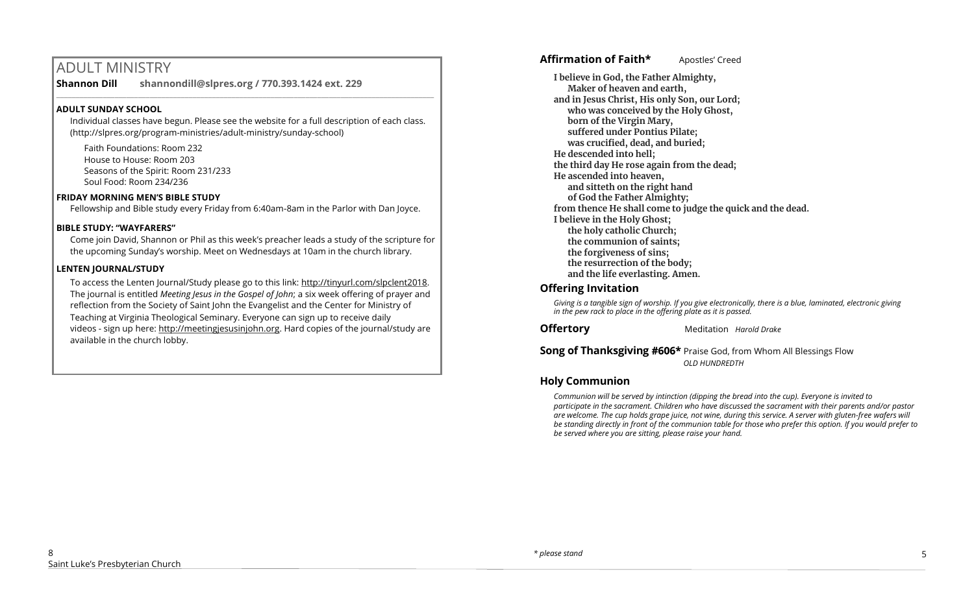# ADULT MINISTRY

**Shannon Dill shannondill@slpres.org / 770.393.1424 ext. 229**   $\_$  , and the set of the set of the set of the set of the set of the set of the set of the set of the set of the set of the set of the set of the set of the set of the set of the set of the set of the set of the set of th

## **ADULT SUNDAY SCHOOL**

Individual classes have begun. Please see the website for a full description of each class. (http://slpres.org/program-ministries/adult-ministry/sunday-school)

Faith Foundations: Room 232 House to House: Room 203 Seasons of the Spirit: Room 231/233 Soul Food: Room 234/236

## **FRIDAY MORNING MEN'S BIBLE STUDY**

Fellowship and Bible study every Friday from 6:40am-8am in the Parlor with Dan Joyce.

## **BIBLE STUDY: "WAYFARERS"**

Come join David, Shannon or Phil as this week's preacher leads a study of the scripture for the upcoming Sunday's worship. Meet on Wednesdays at 10am in the church library.

## **LENTEN JOURNAL/STUDY**

To access the Lenten Journal/Study please go to this link: http://tinyurl.com/slpclent2018. The journal is entitled *Meeting Jesus in the Gospel of John*; a six week offering of prayer and reflection from the Society of Saint John the Evangelist and the Center for Ministry of Teaching at Virginia Theological Seminary. Everyone can sign up to receive daily videos - sign up here: [http://meetingjesusinjohn.org.](http://meetingjesusinjohn.org/) Hard copies of the journal/study are available in the church lobby.

# **Affirmation of Faith\*** Apostles' Creed

**I believe in God, the Father Almighty, Maker of heaven and earth, and in Jesus Christ, His only Son, our Lord; who was conceived by the Holy Ghost, born of the Virgin Mary, suffered under Pontius Pilate; was crucified, dead, and buried; He descended into hell; the third day He rose again from the dead; He ascended into heaven, and sitteth on the right hand of God the Father Almighty; from thence He shall come to judge the quick and the dead. I believe in the Holy Ghost; the holy catholic Church; the communion of saints; the forgiveness of sins; the resurrection of the body; and the life everlasting. Amen.**

# **Offering Invitation**

*Giving is a tangible sign of worship. If you give electronically, there is a blue, laminated, electronic giving in the pew rack to place in the offering plate as it is passed.*

**Offertory** Meditation *Harold Drake* 

## **Song of Thanksgiving #606\*** Praise God, from Whom All Blessings Flow *OLD HUNDREDTH*

# **Holy Communion**

*Communion will be served by intinction (dipping the bread into the cup). Everyone is invited to participate in the sacrament. Children who have discussed the sacrament with their parents and/or pastor are welcome. The cup holds grape juice, not wine, during this service. A server with gluten-free wafers will be standing directly in front of the communion table for those who prefer this option. If you would prefer to be served where you are sitting, please raise your hand.*